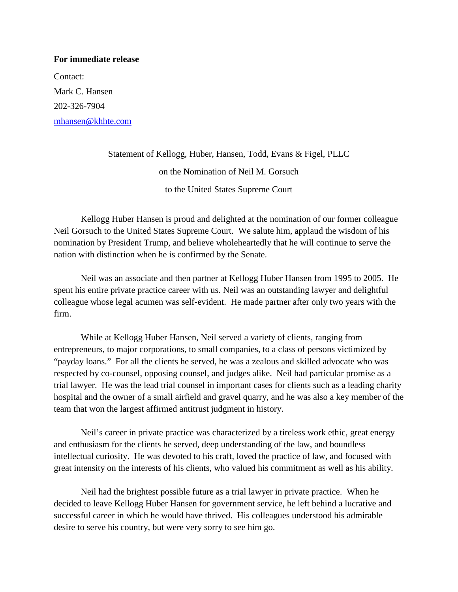## **For immediate release**

Contact: Mark C. Hansen 202-326-7904 [mhansen@khhte.com](mailto:mhansen@khhte.com)

> Statement of Kellogg, Huber, Hansen, Todd, Evans & Figel, PLLC on the Nomination of Neil M. Gorsuch to the United States Supreme Court

Kellogg Huber Hansen is proud and delighted at the nomination of our former colleague Neil Gorsuch to the United States Supreme Court. We salute him, applaud the wisdom of his nomination by President Trump, and believe wholeheartedly that he will continue to serve the nation with distinction when he is confirmed by the Senate.

Neil was an associate and then partner at Kellogg Huber Hansen from 1995 to 2005. He spent his entire private practice career with us. Neil was an outstanding lawyer and delightful colleague whose legal acumen was self-evident. He made partner after only two years with the firm.

While at Kellogg Huber Hansen, Neil served a variety of clients, ranging from entrepreneurs, to major corporations, to small companies, to a class of persons victimized by "payday loans." For all the clients he served, he was a zealous and skilled advocate who was respected by co-counsel, opposing counsel, and judges alike. Neil had particular promise as a trial lawyer. He was the lead trial counsel in important cases for clients such as a leading charity hospital and the owner of a small airfield and gravel quarry, and he was also a key member of the team that won the largest affirmed antitrust judgment in history.

Neil's career in private practice was characterized by a tireless work ethic, great energy and enthusiasm for the clients he served, deep understanding of the law, and boundless intellectual curiosity. He was devoted to his craft, loved the practice of law, and focused with great intensity on the interests of his clients, who valued his commitment as well as his ability.

Neil had the brightest possible future as a trial lawyer in private practice. When he decided to leave Kellogg Huber Hansen for government service, he left behind a lucrative and successful career in which he would have thrived. His colleagues understood his admirable desire to serve his country, but were very sorry to see him go.